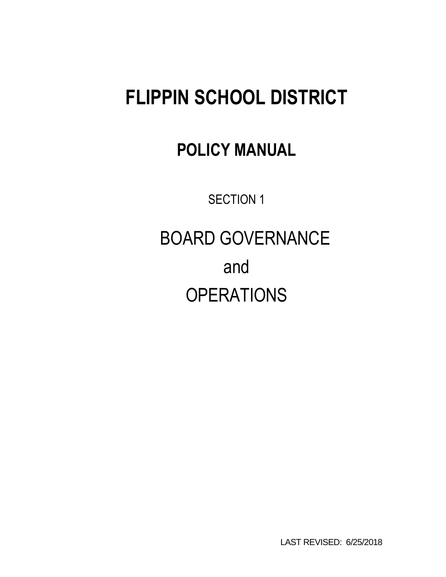# **FLIPPIN SCHOOL DISTRICT**

## **POLICY MANUAL**

SECTION 1

 BOARD GOVERNANCE and **OPERATIONS** 

LAST REVISED: 6/25/2018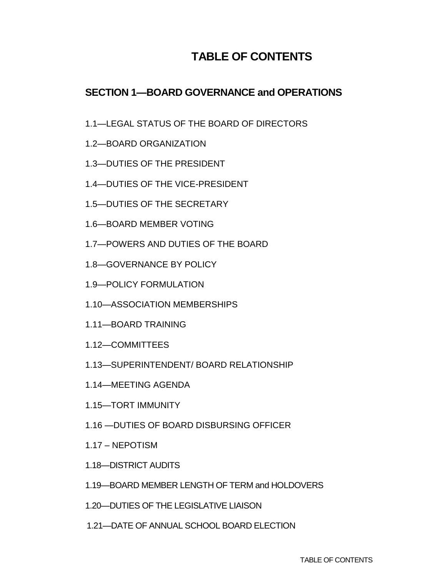## **TABLE OF CONTENTS**

#### **SECTION 1—BOARD GOVERNANCE and OPERATIONS**

- 1.1—LEGAL STATUS OF THE BOARD OF DIRECTORS
- 1.2—BOARD ORGANIZATION
- 1.3—DUTIES OF THE PRESIDENT
- 1.4—DUTIES OF THE VICE-PRESIDENT
- 1.5—DUTIES OF THE SECRETARY
- 1.6—BOARD MEMBER VOTING
- 1.7—POWERS AND DUTIES OF THE BOARD
- 1.8—GOVERNANCE BY POLICY
- 1.9—POLICY FORMULATION
- 1.10—ASSOCIATION MEMBERSHIPS
- 1.11—BOARD TRAINING
- 1.12—COMMITTEES
- 1.13—SUPERINTENDENT/ BOARD RELATIONSHIP
- 1.14—MEETING AGENDA
- 1.15—TORT IMMUNITY
- 1.16 —DUTIES OF BOARD DISBURSING OFFICER
- 1.17 NEPOTISM
- 1.18—DISTRICT AUDITS
- 1.19—BOARD MEMBER LENGTH OF TERM and HOLDOVERS
- 1.20—DUTIES OF THE LEGISLATIVE LIAISON
- 1.21—DATE OF ANNUAL SCHOOL BOARD ELECTION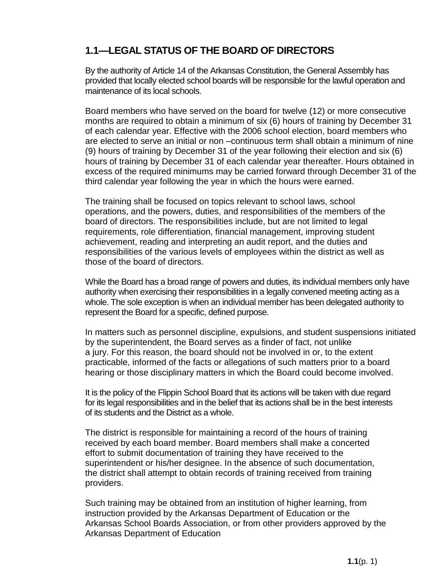## **1.1—LEGAL STATUS OF THE BOARD OF DIRECTORS**

By the authority of Article 14 of the Arkansas Constitution, the General Assembly has provided that locally elected school boards will be responsible for the lawful operation and maintenance of its local schools.

Board members who have served on the board for twelve (12) or more consecutive months are required to obtain a minimum of six (6) hours of training by December 31 of each calendar year. Effective with the 2006 school election, board members who are elected to serve an initial or non –continuous term shall obtain a minimum of nine (9) hours of training by December 31 of the year following their election and six (6) hours of training by December 31 of each calendar year thereafter. Hours obtained in excess of the required minimums may be carried forward through December 31 of the third calendar year following the year in which the hours were earned.

The training shall be focused on topics relevant to school laws, school operations, and the powers, duties, and responsibilities of the members of the board of directors. The responsibilities include, but are not limited to legal requirements, role differentiation, financial management, improving student achievement, reading and interpreting an audit report, and the duties and responsibilities of the various levels of employees within the district as well as those of the board of directors.

While the Board has a broad range of powers and duties, its individual members only have authority when exercising their responsibilities in a legally convened meeting acting as a whole. The sole exception is when an individual member has been delegated authority to represent the Board for a specific, defined purpose.

In matters such as personnel discipline, expulsions, and student suspensions initiated by the superintendent, the Board serves as a finder of fact, not unlike a jury. For this reason, the board should not be involved in or, to the extent practicable, informed of the facts or allegations of such matters prior to a board hearing or those disciplinary matters in which the Board could become involved.

It is the policy of the Flippin School Board that its actions will be taken with due regard for its legal responsibilities and in the belief that its actions shall be in the best interests of its students and the District as a whole.

The district is responsible for maintaining a record of the hours of training received by each board member. Board members shall make a concerted effort to submit documentation of training they have received to the superintendent or his/her designee. In the absence of such documentation, the district shall attempt to obtain records of training received from training providers.

Such training may be obtained from an institution of higher learning, from instruction provided by the Arkansas Department of Education or the Arkansas School Boards Association, or from other providers approved by the Arkansas Department of Education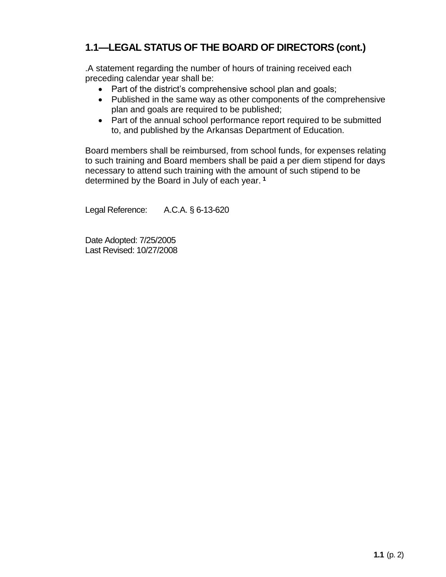## **1.1—LEGAL STATUS OF THE BOARD OF DIRECTORS (cont.)**

.A statement regarding the number of hours of training received each preceding calendar year shall be:

- Part of the district's comprehensive school plan and goals;
- Published in the same way as other components of the comprehensive plan and goals are required to be published;
- Part of the annual school performance report required to be submitted to, and published by the Arkansas Department of Education.

Board members shall be reimbursed, from school funds, for expenses relating to such training and Board members shall be paid a per diem stipend for days necessary to attend such training with the amount of such stipend to be determined by the Board in July of each year. **<sup>1</sup>**

Legal Reference: A.C.A. § 6-13-620

Date Adopted: 7/25/2005 Last Revised: 10/27/2008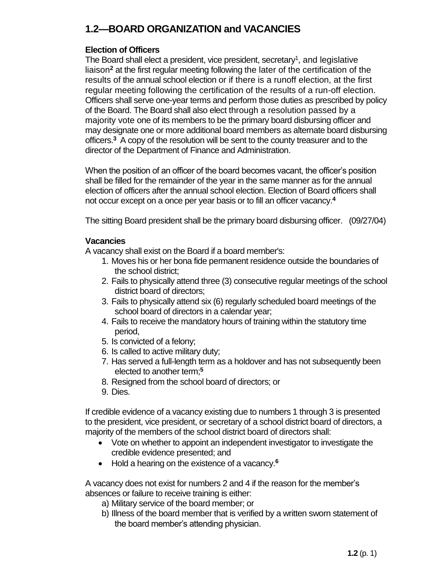## **1.2—BOARD ORGANIZATION and VACANCIES**

#### **Election of Officers**

The Board shall elect a president, vice president, secretary<sup>1</sup>, and legislative liaison**<sup>2</sup>** at the first regular meeting following the later of the certification of the results of the annual school election or if there is a runoff election, at the first regular meeting following the certification of the results of a run-off election. Officers shall serve one-year terms and perform those duties as prescribed by policy of the Board. The Board shall also elect through a resolution passed by a majority vote one of its members to be the primary board disbursing officer and may designate one or more additional board members as alternate board disbursing officers.**<sup>3</sup>**A copy of the resolution will be sent to the county treasurer and to the director of the Department of Finance and Administration.

When the position of an officer of the board becomes vacant, the officer's position shall be filled for the remainder of the year in the same manner as for the annual election of officers after the annual school election. Election of Board officers shall not occur except on a once per year basis or to fill an officer vacancy.**<sup>4</sup>**

The sitting Board president shall be the primary board disbursing officer. (09/27/04)

#### **Vacancies**

A vacancy shall exist on the Board if a board member's:

- 1. Moves his or her bona fide permanent residence outside the boundaries of the school district;
- 2. Fails to physically attend three (3) consecutive regular meetings of the school district board of directors;
- 3. Fails to physically attend six (6) regularly scheduled board meetings of the school board of directors in a calendar year;
- 4. Fails to receive the mandatory hours of training within the statutory time period,
- 5. Is convicted of a felony;
- 6. Is called to active military duty;
- 7. Has served a full-length term as a holdover and has not subsequently been elected to another term;**<sup>5</sup>**
- 8. Resigned from the school board of directors; or
- 9. Dies.

If credible evidence of a vacancy existing due to numbers 1 through 3 is presented to the president, vice president, or secretary of a school district board of directors, a majority of the members of the school district board of directors shall:

- Vote on whether to appoint an independent investigator to investigate the credible evidence presented; and
- Hold a hearing on the existence of a vacancy.**<sup>6</sup>**

A vacancy does not exist for numbers 2 and 4 if the reason for the member's absences or failure to receive training is either:

- a) Military service of the board member; or
- b) Illness of the board member that is verified by a written sworn statement of the board member's attending physician.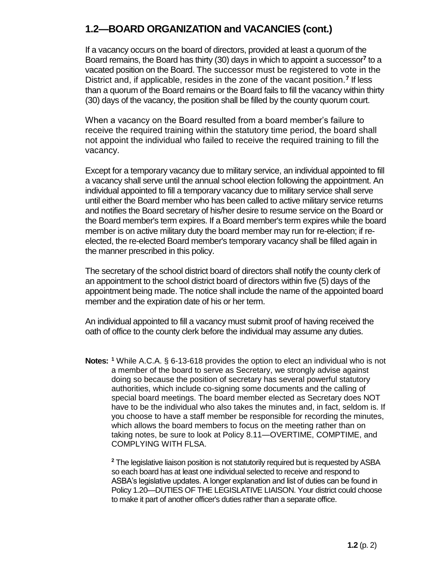#### **1.2—BOARD ORGANIZATION and VACANCIES (cont.)**

If a vacancy occurs on the board of directors, provided at least a quorum of the Board remains, the Board has thirty (30) days in which to appoint a successor**<sup>7</sup>** to a vacated position on the Board. The successor must be registered to vote in the District and, if applicable, resides in the zone of the vacant position.**<sup>7</sup>** If less than a quorum of the Board remains or the Board fails to fill the vacancy within thirty (30) days of the vacancy, the position shall be filled by the county quorum court.

When a vacancy on the Board resulted from a board member's failure to receive the required training within the statutory time period, the board shall not appoint the individual who failed to receive the required training to fill the vacancy.

Except for a temporary vacancy due to military service, an individual appointed to fill a vacancy shall serve until the annual school election following the appointment. An individual appointed to fill a temporary vacancy due to military service shall serve until either the Board member who has been called to active military service returns and notifies the Board secretary of his/her desire to resume service on the Board or the Board member's term expires. If a Board member's term expires while the board member is on active military duty the board member may run for re-election; if reelected, the re-elected Board member's temporary vacancy shall be filled again in the manner prescribed in this policy.

The secretary of the school district board of directors shall notify the county clerk of an appointment to the school district board of directors within five (5) days of the appointment being made. The notice shall include the name of the appointed board member and the expiration date of his or her term.

An individual appointed to fill a vacancy must submit proof of having received the oath of office to the county clerk before the individual may assume any duties.

**Notes: <sup>1</sup>** While A.C.A. § 6-13-618 provides the option to elect an individual who is not a member of the board to serve as Secretary, we strongly advise against doing so because the position of secretary has several powerful statutory authorities, which include co-signing some documents and the calling of special board meetings. The board member elected as Secretary does NOT have to be the individual who also takes the minutes and, in fact, seldom is. If you choose to have a staff member be responsible for recording the minutes, which allows the board members to focus on the meeting rather than on taking notes, be sure to look at Policy 8.11—OVERTIME, COMPTIME, and COMPLYING WITH FLSA.

**<sup>2</sup>** The legislative liaison position is not statutorily required but is requested by ASBA so each board has at least one individual selected to receive and respond to ASBA's legislative updates. A longer explanation and list of duties can be found in Policy 1.20—DUTIES OF THE LEGISLATIVE LIAISON. Your district could choose to make it part of another officer's duties rather than a separate office.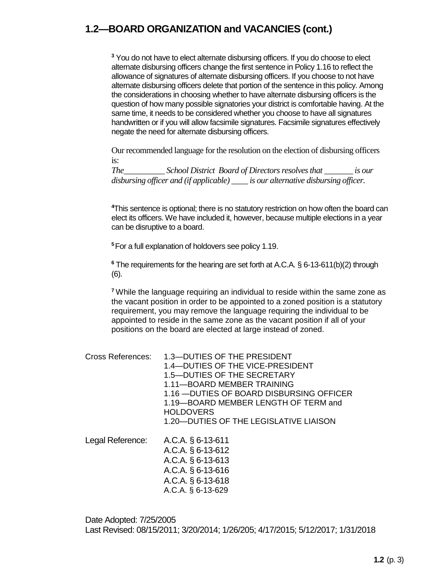#### **1.2—BOARD ORGANIZATION and VACANCIES (cont.)**

**<sup>3</sup>** You do not have to elect alternate disbursing officers. If you do choose to elect alternate disbursing officers change the first sentence in Policy 1.16 to reflect the allowance of signatures of alternate disbursing officers. If you choose to not have alternate disbursing officers delete that portion of the sentence in this policy. Among the considerations in choosing whether to have alternate disbursing officers is the question of how many possible signatories your district is comfortable having. At the same time, it needs to be considered whether you choose to have all signatures handwritten or if you will allow facsimile signatures. Facsimile signatures effectively negate the need for alternate disbursing officers.

Our recommended language for the resolution on the election of disbursing officers is:

*The* School District Board of Directors resolves that is our **is set on** *is our disbursing officer and (if applicable) \_\_\_\_ is our alternative disbursing officer.*

**<sup>4</sup>**This sentence is optional; there is no statutory restriction on how often the board can elect its officers. We have included it, however, because multiple elections in a year can be disruptive to a board.

**<sup>5</sup>**For a full explanation of holdovers see policy 1.19.

**<sup>6</sup>** The requirements for the hearing are set forth at A.C.A. § 6-13-611(b)(2) through (6).

**<sup>7</sup>** While the language requiring an individual to reside within the same zone as the vacant position in order to be appointed to a zoned position is a statutory requirement, you may remove the language requiring the individual to be appointed to reside in the same zone as the vacant position if all of your positions on the board are elected at large instead of zoned.

| Cross References: | 1.3-DUTIES OF THE PRESIDENT               |
|-------------------|-------------------------------------------|
|                   | 1.4-DUTIES OF THE VICE-PRESIDENT          |
|                   | 1.5—DUTIES OF THE SECRETARY               |
|                   | 1.11—BOARD MEMBER TRAINING                |
|                   | 1.16 - DUTIES OF BOARD DISBURSING OFFICER |
|                   | 1.19-BOARD MEMBER LENGTH OF TERM and      |
|                   | <b>HOLDOVERS</b>                          |
|                   | 1.20-DUTIES OF THE LEGISLATIVE LIAISON    |
| Legal Reference:  | A.C.A. § 6-13-611                         |
|                   |                                           |
|                   | A.C.A. § 6-13-612                         |
|                   | $\Lambda \cap \Lambda$ $R$ $R$ 12 $R$ 12  |

A.C.A. § 6-13-613 A.C.A. § 6-13-616 A.C.A. § 6-13-618 A.C.A. § 6-13-629

Date Adopted: 7/25/2005 Last Revised: 08/15/2011; 3/20/2014; 1/26/205; 4/17/2015; 5/12/2017; 1/31/2018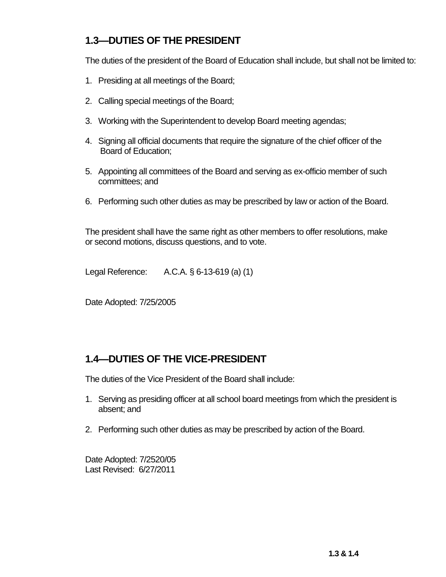## **1.3—DUTIES OF THE PRESIDENT**

The duties of the president of the Board of Education shall include, but shall not be limited to:

- 1. Presiding at all meetings of the Board;
- 2. Calling special meetings of the Board;
- 3. Working with the Superintendent to develop Board meeting agendas;
- 4. Signing all official documents that require the signature of the chief officer of the Board of Education;
- 5. Appointing all committees of the Board and serving as ex-officio member of such committees; and
- 6. Performing such other duties as may be prescribed by law or action of the Board.

The president shall have the same right as other members to offer resolutions, make or second motions, discuss questions, and to vote.

Legal Reference: A.C.A. § 6-13-619 (a) (1)

Date Adopted: 7/25/2005

#### **1.4—DUTIES OF THE VICE-PRESIDENT**

The duties of the Vice President of the Board shall include:

- 1. Serving as presiding officer at all school board meetings from which the president is absent; and
- 2. Performing such other duties as may be prescribed by action of the Board.

Date Adopted: 7/2520/05 Last Revised: 6/27/2011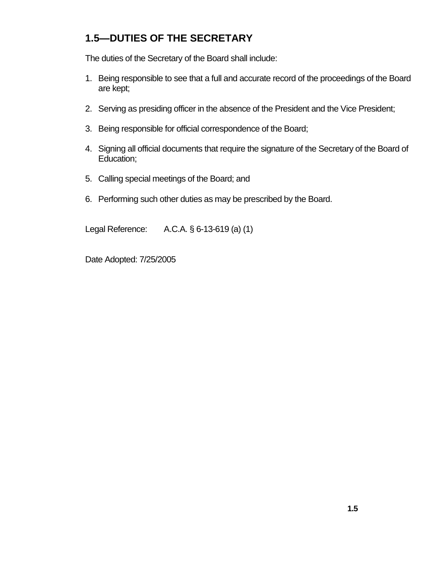## **1.5—DUTIES OF THE SECRETARY**

The duties of the Secretary of the Board shall include:

- 1. Being responsible to see that a full and accurate record of the proceedings of the Board are kept;
- 2. Serving as presiding officer in the absence of the President and the Vice President;
- 3. Being responsible for official correspondence of the Board;
- 4. Signing all official documents that require the signature of the Secretary of the Board of Education;
- 5. Calling special meetings of the Board; and
- 6. Performing such other duties as may be prescribed by the Board.

Legal Reference: A.C.A. § 6-13-619 (a) (1)

Date Adopted: 7/25/2005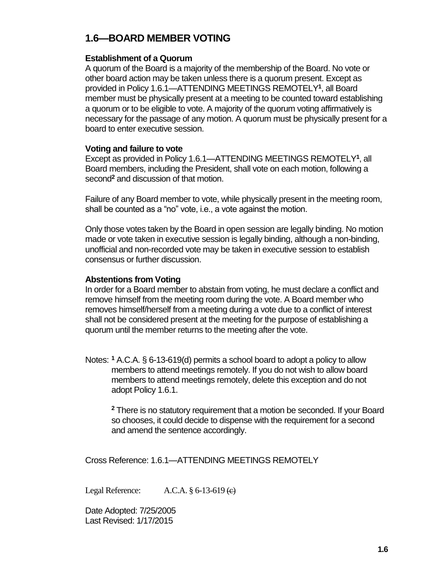## **1.6—BOARD MEMBER VOTING**

#### **Establishment of a Quorum**

A quorum of the Board is a majority of the membership of the Board. No vote or other board action may be taken unless there is a quorum present. Except as provided in Policy 1.6.1—ATTENDING MEETINGS REMOTELY**<sup>1</sup>** , all Board member must be physically present at a meeting to be counted toward establishing a quorum or to be eligible to vote. A majority of the quorum voting affirmatively is necessary for the passage of any motion. A quorum must be physically present for a board to enter executive session.

#### **Voting and failure to vote**

Except as provided in Policy 1.6.1—ATTENDING MEETINGS REMOTELY**<sup>1</sup>** , all Board members, including the President, shall vote on each motion, following a second**<sup>2</sup>** and discussion of that motion.

Failure of any Board member to vote, while physically present in the meeting room, shall be counted as a "no" vote, i.e., a vote against the motion.

Only those votes taken by the Board in open session are legally binding. No motion made or vote taken in executive session is legally binding, although a non-binding, unofficial and non-recorded vote may be taken in executive session to establish consensus or further discussion.

#### **Abstentions from Voting**

In order for a Board member to abstain from voting, he must declare a conflict and remove himself from the meeting room during the vote. A Board member who removes himself/herself from a meeting during a vote due to a conflict of interest shall not be considered present at the meeting for the purpose of establishing a quorum until the member returns to the meeting after the vote.

Notes: **<sup>1</sup>** A.C.A. § 6-13-619(d) permits a school board to adopt a policy to allow members to attend meetings remotely. If you do not wish to allow board members to attend meetings remotely, delete this exception and do not adopt Policy 1.6.1.

**<sup>2</sup>** There is no statutory requirement that a motion be seconded. If your Board so chooses, it could decide to dispense with the requirement for a second and amend the sentence accordingly.

Cross Reference: 1.6.1—ATTENDING MEETINGS REMOTELY

Legal Reference: A.C.A. § 6-13-619 <del>(c)</del>

Date Adopted: 7/25/2005 Last Revised: 1/17/2015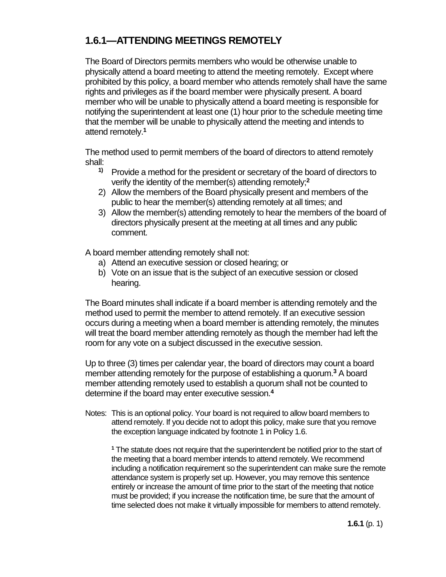## **1.6.1—ATTENDING MEETINGS REMOTELY**

The Board of Directors permits members who would be otherwise unable to physically attend a board meeting to attend the meeting remotely. Except where prohibited by this policy, a board member who attends remotely shall have the same rights and privileges as if the board member were physically present. A board member who will be unable to physically attend a board meeting is responsible for notifying the superintendent at least one (1) hour prior to the schedule meeting time that the member will be unable to physically attend the meeting and intends to attend remotely.**<sup>1</sup>**

The method used to permit members of the board of directors to attend remotely shall:

- **1)** Provide a method for the president or secretary of the board of directors to verify the identity of the member(s) attending remotely;**<sup>2</sup>**
- 2) Allow the members of the Board physically present and members of the public to hear the member(s) attending remotely at all times; and
- 3) Allow the member(s) attending remotely to hear the members of the board of directors physically present at the meeting at all times and any public comment.

A board member attending remotely shall not:

- a) Attend an executive session or closed hearing; or
- b) Vote on an issue that is the subject of an executive session or closed hearing.

The Board minutes shall indicate if a board member is attending remotely and the method used to permit the member to attend remotely. If an executive session occurs during a meeting when a board member is attending remotely, the minutes will treat the board member attending remotely as though the member had left the room for any vote on a subject discussed in the executive session.

Up to three (3) times per calendar year, the board of directors may count a board member attending remotely for the purpose of establishing a quorum.**<sup>3</sup>** A board member attending remotely used to establish a quorum shall not be counted to determine if the board may enter executive session.**<sup>4</sup>**

Notes: This is an optional policy. Your board is not required to allow board members to attend remotely. If you decide not to adopt this policy, make sure that you remove the exception language indicated by footnote 1 in Policy 1.6.

**<sup>1</sup>** The statute does not require that the superintendent be notified prior to the start of the meeting that a board member intends to attend remotely. We recommend including a notification requirement so the superintendent can make sure the remote attendance system is properly set up. However, you may remove this sentence entirely or increase the amount of time prior to the start of the meeting that notice must be provided; if you increase the notification time, be sure that the amount of time selected does not make it virtually impossible for members to attend remotely.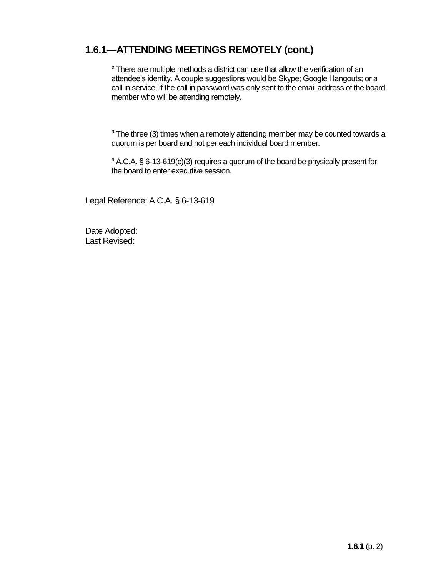#### **1.6.1—ATTENDING MEETINGS REMOTELY (cont.)**

**<sup>2</sup>** There are multiple methods a district can use that allow the verification of an attendee's identity. A couple suggestions would be Skype; Google Hangouts; or a call in service, if the call in password was only sent to the email address of the board member who will be attending remotely.

**<sup>3</sup>** The three (3) times when a remotely attending member may be counted towards a quorum is per board and not per each individual board member.

**<sup>4</sup>** A.C.A. § 6-13-619(c)(3) requires a quorum of the board be physically present for the board to enter executive session.

Legal Reference: A.C.A. § 6-13-619

Date Adopted: Last Revised: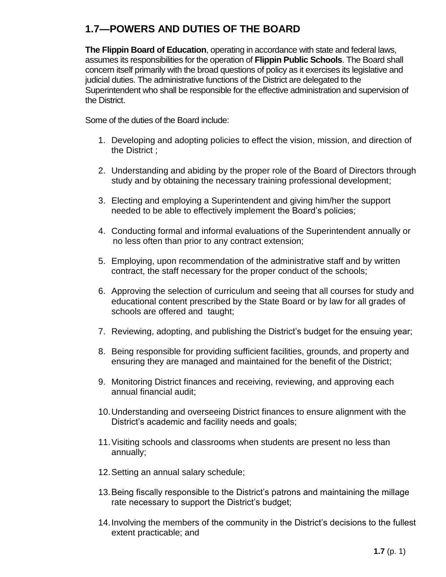## **1.7—POWERS AND DUTIES OF THE BOARD**

**The Flippin Board of Education**, operating in accordance with state and federal laws, assumes its responsibilities for the operation of **Flippin Public Schools**. The Board shall concern itself primarily with the broad questions of policy as it exercises its legislative and judicial duties. The administrative functions of the District are delegated to the Superintendent who shall be responsible for the effective administration and supervision of the District.

Some of the duties of the Board include:

- 1. Developing and adopting policies to effect the vision, mission, and direction of the District ;
- 2. Understanding and abiding by the proper role of the Board of Directors through study and by obtaining the necessary training professional development;
- 3. Electing and employing a Superintendent and giving him/her the support needed to be able to effectively implement the Board's policies;
- 4. Conducting formal and informal evaluations of the Superintendent annually or no less often than prior to any contract extension;
- 5. Employing, upon recommendation of the administrative staff and by written contract, the staff necessary for the proper conduct of the schools;
- 6. Approving the selection of curriculum and seeing that all courses for study and educational content prescribed by the State Board or by law for all grades of schools are offered and taught;
- 7. Reviewing, adopting, and publishing the District's budget for the ensuing year;
- 8. Being responsible for providing sufficient facilities, grounds, and property and ensuring they are managed and maintained for the benefit of the District;
- 9. Monitoring District finances and receiving, reviewing, and approving each annual financial audit;
- 10.Understanding and overseeing District finances to ensure alignment with the District's academic and facility needs and goals;
- 11.Visiting schools and classrooms when students are present no less than annually;
- 12.Setting an annual salary schedule;
- 13.Being fiscally responsible to the District's patrons and maintaining the millage rate necessary to support the District's budget;
- 14.Involving the members of the community in the District's decisions to the fullest extent practicable; and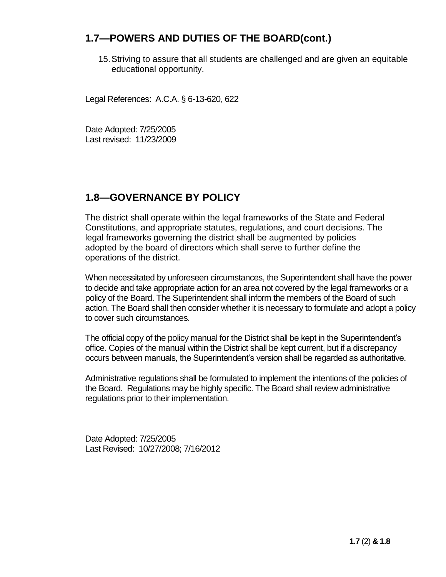#### **1.7—POWERS AND DUTIES OF THE BOARD(cont.)**

15.Striving to assure that all students are challenged and are given an equitable educational opportunity.

Legal References: A.C.A. § 6-13-620, 622

Date Adopted: 7/25/2005 Last revised: 11/23/2009

#### **1.8—GOVERNANCE BY POLICY**

The district shall operate within the legal frameworks of the State and Federal Constitutions, and appropriate statutes, regulations, and court decisions. The legal frameworks governing the district shall be augmented by policies adopted by the board of directors which shall serve to further define the operations of the district.

When necessitated by unforeseen circumstances, the Superintendent shall have the power to decide and take appropriate action for an area not covered by the legal frameworks or a policy of the Board. The Superintendent shall inform the members of the Board of such action. The Board shall then consider whether it is necessary to formulate and adopt a policy to cover such circumstances.

The official copy of the policy manual for the District shall be kept in the Superintendent's office. Copies of the manual within the District shall be kept current, but if a discrepancy occurs between manuals, the Superintendent's version shall be regarded as authoritative.

Administrative regulations shall be formulated to implement the intentions of the policies of the Board. Regulations may be highly specific. The Board shall review administrative regulations prior to their implementation.

Date Adopted: 7/25/2005 Last Revised: 10/27/2008; 7/16/2012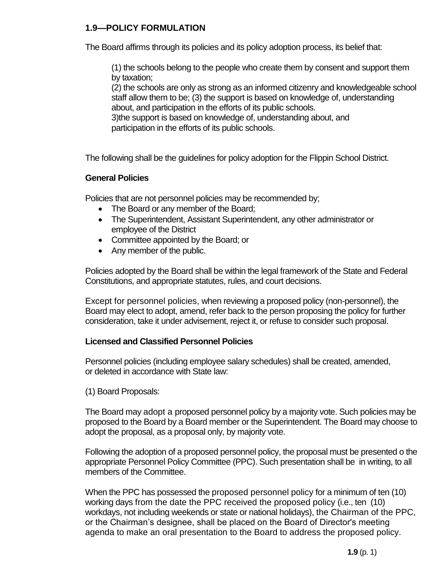#### **1.9—POLICY FORMULATION**

The Board affirms through its policies and its policy adoption process, its belief that:

(1) the schools belong to the people who create them by consent and support them by taxation;

(2) the schools are only as strong as an informed citizenry and knowledgeable school staff allow them to be; (3) the support is based on knowledge of, understanding about, and participation in the efforts of its public schools.

3)the support is based on knowledge of, understanding about, and participation in the efforts of its public schools.

The following shall be the guidelines for policy adoption for the Flippin School District.

#### **General Policies**

Policies that are not personnel policies may be recommended by;

- The Board or any member of the Board;
- The Superintendent, Assistant Superintendent, any other administrator or employee of the District
- Committee appointed by the Board; or
- Any member of the public.

Policies adopted by the Board shall be within the legal framework of the State and Federal Constitutions, and appropriate statutes, rules, and court decisions.

Except for personnel policies, when reviewing a proposed policy (non-personnel), the Board may elect to adopt, amend, refer back to the person proposing the policy for further consideration, take it under advisement, reject it, or refuse to consider such proposal.

#### **Licensed and Classified Personnel Policies**

Personnel policies (including employee salary schedules) shall be created, amended, or deleted in accordance with State law:

(1) Board Proposals:

The Board may adopt a proposed personnel policy by a majority vote. Such policies may be proposed to the Board by a Board member or the Superintendent. The Board may choose to adopt the proposal, as a proposal only, by majority vote.

Following the adoption of a proposed personnel policy, the proposal must be presented o the appropriate Personnel Policy Committee (PPC). Such presentation shall be in writing, to all members of the Committee.

When the PPC has possessed the proposed personnel policy for a minimum of ten (10) working days from the date the PPC received the proposed policy (i.e., ten (10) workdays, not including weekends or state or national holidays), the Chairman of the PPC, or the Chairman's designee, shall be placed on the Board of Director's meeting agenda to make an oral presentation to the Board to address the proposed policy.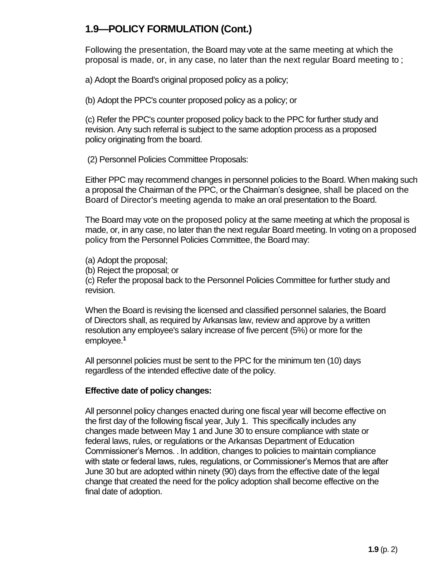## **1.9—POLICY FORMULATION (Cont.)**

Following the presentation, the Board may vote at the same meeting at which the proposal is made, or, in any case, no later than the next regular Board meeting to ;

a) Adopt the Board's original proposed policy as a policy;

(b) Adopt the PPC's counter proposed policy as a policy; or

(c) Refer the PPC's counter proposed policy back to the PPC for further study and revision. Any such referral is subject to the same adoption process as a proposed policy originating from the board.

(2) Personnel Policies Committee Proposals:

Either PPC may recommend changes in personnel policies to the Board. When making such a proposal the Chairman of the PPC, or the Chairman's designee, shall be placed on the Board of Director's meeting agenda to make an oral presentation to the Board.

The Board may vote on the proposed policy at the same meeting at which the proposal is made, or, in any case, no later than the next regular Board meeting. In voting on a proposed policy from the Personnel Policies Committee, the Board may:

(a) Adopt the proposal;

(b) Reject the proposal; or

(c) Refer the proposal back to the Personnel Policies Committee for further study and revision.

When the Board is revising the licensed and classified personnel salaries, the Board of Directors shall, as required by Arkansas law, review and approve by a written resolution any employee's salary increase of five percent (5%) or more for the employee.**<sup>1</sup>**

All personnel policies must be sent to the PPC for the minimum ten (10) days regardless of the intended effective date of the policy.

#### **Effective date of policy changes:**

All personnel policy changes enacted during one fiscal year will become effective on the first day of the following fiscal year, July 1. This specifically includes any changes made between May 1 and June 30 to ensure compliance with state or federal laws, rules, or regulations or the Arkansas Department of Education Commissioner's Memos. . In addition, changes to policies to maintain compliance with state or federal laws, rules, regulations, or Commissioner's Memos that are after June 30 but are adopted within ninety (90) days from the effective date of the legal change that created the need for the policy adoption shall become effective on the final date of adoption.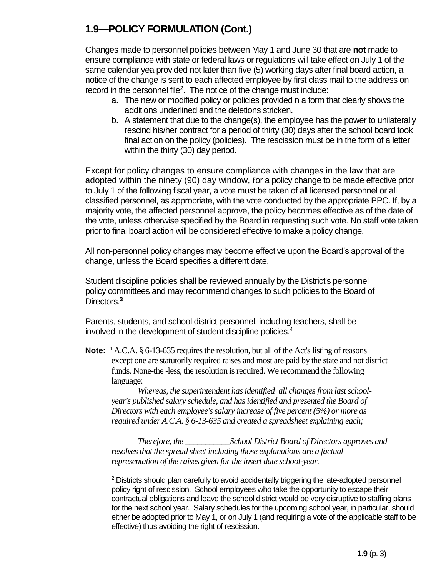## **1.9—POLICY FORMULATION (Cont.)**

Changes made to personnel policies between May 1 and June 30 that are **not** made to ensure compliance with state or federal laws or regulations will take effect on July 1 of the same calendar yea provided not later than five (5) working days after final board action, a notice of the change is sent to each affected employee by first class mail to the address on record in the personnel file<sup>2</sup>. The notice of the change must include:

- a. The new or modified policy or policies provided n a form that clearly shows the additions underlined and the deletions stricken.
- b. A statement that due to the change(s), the employee has the power to unilaterally rescind his/her contract for a period of thirty (30) days after the school board took final action on the policy (policies). The rescission must be in the form of a letter within the thirty (30) day period.

Except for policy changes to ensure compliance with changes in the law that are adopted within the ninety (90) day window, for a policy change to be made effective prior to July 1 of the following fiscal year, a vote must be taken of all licensed personnel or all classified personnel, as appropriate, with the vote conducted by the appropriate PPC. If, by a majority vote, the affected personnel approve, the policy becomes effective as of the date of the vote, unless otherwise specified by the Board in requesting such vote. No staff vote taken prior to final board action will be considered effective to make a policy change.

All non-personnel policy changes may become effective upon the Board's approval of the change, unless the Board specifies a different date.

Student discipline policies shall be reviewed annually by the District's personnel policy committees and may recommend changes to such policies to the Board of Directors.**<sup>3</sup>**

Parents, students, and school district personnel, including teachers, shall be involved in the development of student discipline policies.<sup>4</sup>

**Note: <sup>1</sup>**A.C.A. § 6-13-635 requires the resolution, but all of the Act's listing of reasons except one are statutorily required raises and most are paid by the state and not district funds. None-the -less, the resolution is required. We recommend the following language:

*Whereas, the superintendent has identified all changes from last schoolyear's published salary schedule, and has identified and presented the Board of Directors with each employee's salary increase of five percent (5%) or more as required under A.C.A. § 6-13-635 and created a spreadsheet explaining each;*

*Therefore, the \_\_\_\_\_\_\_\_\_\_\_School District Board of Directors approves and resolves that the spread sheet including those explanations are a factual representation of the raises given for the insert date school-year.*

<sup>2</sup>. Districts should plan carefully to avoid accidentally triggering the late-adopted personnel policy right of rescission. School employees who take the opportunity to escape their contractual obligations and leave the school district would be very disruptive to staffing plans for the next school year. Salary schedules for the upcoming school year, in particular, should either be adopted prior to May 1, or on July 1 (and requiring a vote of the applicable staff to be effective) thus avoiding the right of rescission.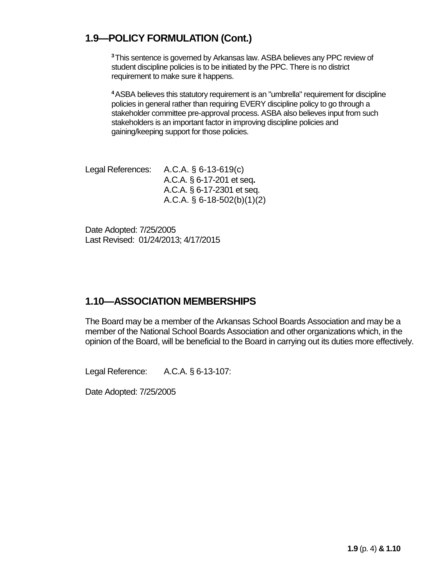## **1.9—POLICY FORMULATION (Cont.)**

**<sup>3</sup>**This sentence is governed by Arkansas law. ASBA believes any PPC review of student discipline policies is to be initiated by the PPC. There is no district requirement to make sure it happens.

**<sup>4</sup>**ASBA believes this statutory requirement is an "umbrella" requirement for discipline policies in general rather than requiring EVERY discipline policy to go through a stakeholder committee pre-approval process. ASBA also believes input from such stakeholders is an important factor in improving discipline policies and gaining/keeping support for those policies.

Legal References: A.C.A. § 6-13-619(c) A.C.A. § 6-17-201 et seq**.** A.C.A. § 6-17-2301 et seq. A.C.A. § 6-18-502(b)(1)(2)

Date Adopted: 7/25/2005 Last Revised: 01/24/2013; 4/17/2015

#### **1.10—ASSOCIATION MEMBERSHIPS**

The Board may be a member of the Arkansas School Boards Association and may be a member of the National School Boards Association and other organizations which, in the opinion of the Board, will be beneficial to the Board in carrying out its duties more effectively.

Legal Reference: A.C.A. § 6-13-107:

Date Adopted: 7/25/2005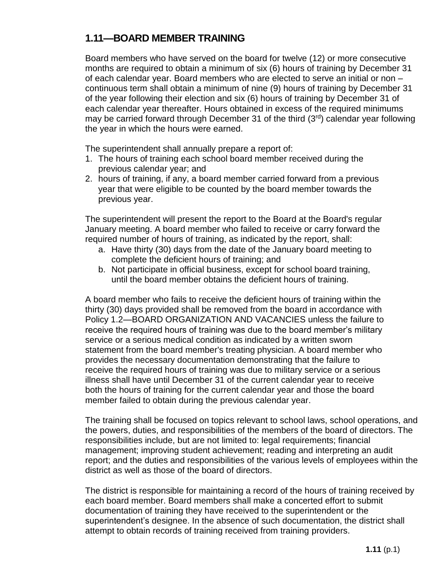#### **1.11—BOARD MEMBER TRAINING**

Board members who have served on the board for twelve (12) or more consecutive months are required to obtain a minimum of six (6) hours of training by December 31 of each calendar year. Board members who are elected to serve an initial or non – continuous term shall obtain a minimum of nine (9) hours of training by December 31 of the year following their election and six (6) hours of training by December 31 of each calendar year thereafter. Hours obtained in excess of the required minimums may be carried forward through December 31 of the third  $(3<sup>rd</sup>)$  calendar year following the year in which the hours were earned.

The superintendent shall annually prepare a report of:

- 1. The hours of training each school board member received during the previous calendar year; and
- 2. hours of training, if any, a board member carried forward from a previous year that were eligible to be counted by the board member towards the previous year.

The superintendent will present the report to the Board at the Board's regular January meeting. A board member who failed to receive or carry forward the required number of hours of training, as indicated by the report, shall:

- a. Have thirty (30) days from the date of the January board meeting to complete the deficient hours of training; and
- b. Not participate in official business, except for school board training, until the board member obtains the deficient hours of training.

A board member who fails to receive the deficient hours of training within the thirty (30) days provided shall be removed from the board in accordance with Policy 1.2—BOARD ORGANIZATION AND VACANCIES unless the failure to receive the required hours of training was due to the board member's military service or a serious medical condition as indicated by a written sworn statement from the board member's treating physician. A board member who provides the necessary documentation demonstrating that the failure to receive the required hours of training was due to military service or a serious illness shall have until December 31 of the current calendar year to receive both the hours of training for the current calendar year and those the board member failed to obtain during the previous calendar year.

The training shall be focused on topics relevant to school laws, school operations, and the powers, duties, and responsibilities of the members of the board of directors. The responsibilities include, but are not limited to: legal requirements; financial management; improving student achievement; reading and interpreting an audit report; and the duties and responsibilities of the various levels of employees within the district as well as those of the board of directors.

The district is responsible for maintaining a record of the hours of training received by each board member. Board members shall make a concerted effort to submit documentation of training they have received to the superintendent or the superintendent's designee. In the absence of such documentation, the district shall attempt to obtain records of training received from training providers.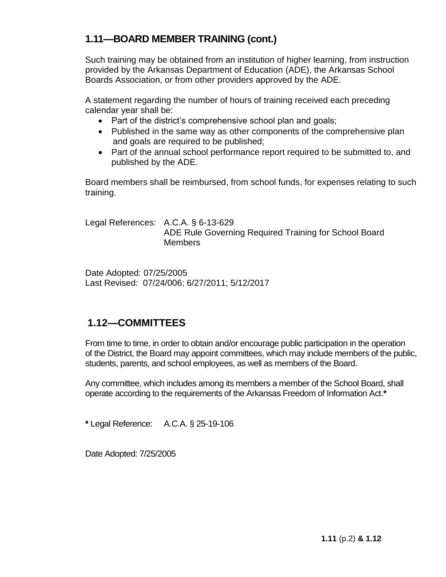## **1.11—BOARD MEMBER TRAINING (cont.)**

Such training may be obtained from an institution of higher learning, from instruction provided by the Arkansas Department of Education (ADE), the Arkansas School Boards Association, or from other providers approved by the ADE.

A statement regarding the number of hours of training received each preceding calendar year shall be:

- Part of the district's comprehensive school plan and goals;
- Published in the same way as other components of the comprehensive plan and goals are required to be published;
- Part of the annual school performance report required to be submitted to, and published by the ADE.

Board members shall be reimbursed, from school funds, for expenses relating to such training.

Legal References: A.C.A. § 6-13-629 ADE Rule Governing Required Training for School Board **Members** 

Date Adopted: 07/25/2005 Last Revised: 07/24/006; 6/27/2011; 5/12/2017

#### **1.12—COMMITTEES**

From time to time, in order to obtain and/or encourage public participation in the operation of the District, the Board may appoint committees, which may include members of the public, students, parents, and school employees, as well as members of the Board.

Any committee, which includes among its members a member of the School Board, shall operate according to the requirements of the Arkansas Freedom of Information Act.**\***

**\*** Legal Reference: A.C.A. § 25-19-106

Date Adopted: 7/25/2005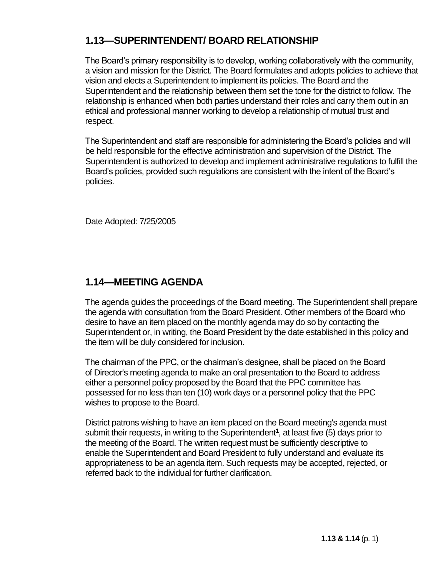## **1.13—SUPERINTENDENT/ BOARD RELATIONSHIP**

The Board's primary responsibility is to develop, working collaboratively with the community, a vision and mission for the District. The Board formulates and adopts policies to achieve that vision and elects a Superintendent to implement its policies. The Board and the Superintendent and the relationship between them set the tone for the district to follow. The relationship is enhanced when both parties understand their roles and carry them out in an ethical and professional manner working to develop a relationship of mutual trust and respect.

The Superintendent and staff are responsible for administering the Board's policies and will be held responsible for the effective administration and supervision of the District. The Superintendent is authorized to develop and implement administrative regulations to fulfill the Board's policies, provided such regulations are consistent with the intent of the Board's policies.

Date Adopted: 7/25/2005

#### **1.14—MEETING AGENDA**

The agenda guides the proceedings of the Board meeting. The Superintendent shall prepare the agenda with consultation from the Board President. Other members of the Board who desire to have an item placed on the monthly agenda may do so by contacting the Superintendent or, in writing, the Board President by the date established in this policy and the item will be duly considered for inclusion.

The chairman of the PPC, or the chairman's designee, shall be placed on the Board of Director's meeting agenda to make an oral presentation to the Board to address either a personnel policy proposed by the Board that the PPC committee has possessed for no less than ten (10) work days or a personnel policy that the PPC wishes to propose to the Board.

District patrons wishing to have an item placed on the Board meeting's agenda must submit their requests, in writing to the Superintendent**<sup>1</sup>** , at least five (5) days prior to the meeting of the Board. The written request must be sufficiently descriptive to enable the Superintendent and Board President to fully understand and evaluate its appropriateness to be an agenda item. Such requests may be accepted, rejected, or referred back to the individual for further clarification.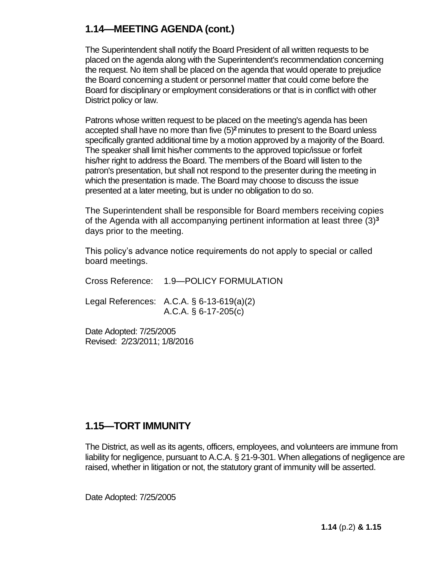#### **1.14—MEETING AGENDA (cont.)**

The Superintendent shall notify the Board President of all written requests to be placed on the agenda along with the Superintendent's recommendation concerning the request. No item shall be placed on the agenda that would operate to prejudice the Board concerning a student or personnel matter that could come before the Board for disciplinary or employment considerations or that is in conflict with other District policy or law.

Patrons whose written request to be placed on the meeting's agenda has been accepted shall have no more than five (5)**<sup>2</sup>**minutes to present to the Board unless specifically granted additional time by a motion approved by a majority of the Board. The speaker shall limit his/her comments to the approved topic/issue or forfeit his/her right to address the Board. The members of the Board will listen to the patron's presentation, but shall not respond to the presenter during the meeting in which the presentation is made. The Board may choose to discuss the issue presented at a later meeting, but is under no obligation to do so.

The Superintendent shall be responsible for Board members receiving copies of the Agenda with all accompanying pertinent information at least three (3)**<sup>3</sup>** days prior to the meeting.

This policy's advance notice requirements do not apply to special or called board meetings.

Cross Reference: 1.9—POLICY FORMULATION

Legal References: A.C.A. § 6-13-619(a)(2) A.C.A. § 6-17-205(c)

Date Adopted: 7/25/2005 Revised: 2/23/2011; 1/8/2016

#### **1.15—TORT IMMUNITY**

The District, as well as its agents, officers, employees, and volunteers are immune from liability for negligence, pursuant to A.C.A. § 21-9-301. When allegations of negligence are raised, whether in litigation or not, the statutory grant of immunity will be asserted.

Date Adopted: 7/25/2005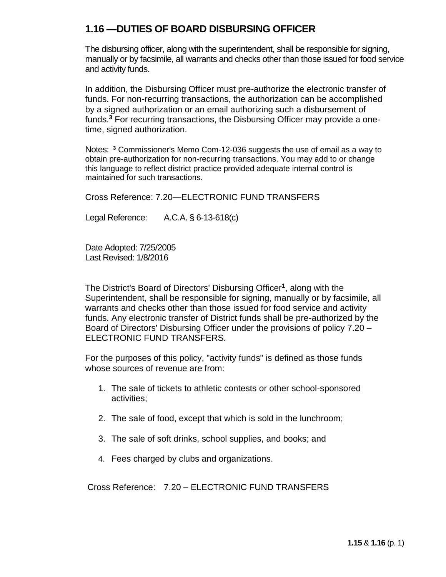#### **1.16 —DUTIES OF BOARD DISBURSING OFFICER**

The disbursing officer, along with the superintendent, shall be responsible for signing, manually or by facsimile, all warrants and checks other than those issued for food service and activity funds.

In addition, the Disbursing Officer must pre-authorize the electronic transfer of funds. For non-recurring transactions, the authorization can be accomplished by a signed authorization or an email authorizing such a disbursement of funds.**<sup>3</sup>** For recurring transactions, the Disbursing Officer may provide a onetime, signed authorization.

Notes: **<sup>3</sup>** Commissioner's Memo Com-12-036 suggests the use of email as a way to obtain pre-authorization for non-recurring transactions. You may add to or change this language to reflect district practice provided adequate internal control is maintained for such transactions.

Cross Reference: 7.20—ELECTRONIC FUND TRANSFERS

Legal Reference: A.C.A. § 6-13-618(c)

Date Adopted: 7/25/2005 Last Revised: 1/8/2016

The District's Board of Directors' Disbursing Officer**<sup>1</sup>** , along with the Superintendent, shall be responsible for signing, manually or by facsimile, all warrants and checks other than those issued for food service and activity funds. Any electronic transfer of District funds shall be pre-authorized by the Board of Directors' Disbursing Officer under the provisions of policy 7.20 – ELECTRONIC FUND TRANSFERS.

For the purposes of this policy, "activity funds" is defined as those funds whose sources of revenue are from:

- 1. The sale of tickets to athletic contests or other school-sponsored activities;
- 2. The sale of food, except that which is sold in the lunchroom;
- 3. The sale of soft drinks, school supplies, and books; and
- 4. Fees charged by clubs and organizations.

Cross Reference: 7.20 – ELECTRONIC FUND TRANSFERS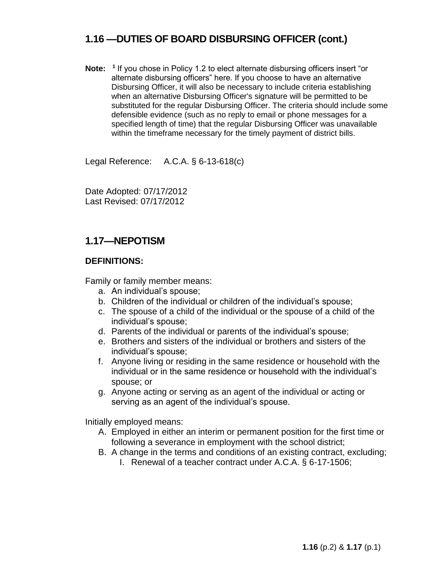#### **1.16 —DUTIES OF BOARD DISBURSING OFFICER (cont.)**

Note: <sup>1</sup> If you chose in Policy 1.2 to elect alternate disbursing officers insert "or alternate disbursing officers" here. If you choose to have an alternative Disbursing Officer, it will also be necessary to include criteria establishing when an alternative Disbursing Officer's signature will be permitted to be substituted for the regular Disbursing Officer. The criteria should include some defensible evidence (such as no reply to email or phone messages for a specified length of time) that the regular Disbursing Officer was unavailable within the timeframe necessary for the timely payment of district bills.

Legal Reference: A.C.A. § 6-13-618(c)

Date Adopted: 07/17/2012 Last Revised: 07/17/2012

#### **1.17—NEPOTISM**

#### **DEFINITIONS:**

Family or family member means:

- a. An individual's spouse;
- b. Children of the individual or children of the individual's spouse;
- c. The spouse of a child of the individual or the spouse of a child of the individual's spouse;
- d. Parents of the individual or parents of the individual's spouse;
- e. Brothers and sisters of the individual or brothers and sisters of the individual's spouse;
- f. Anyone living or residing in the same residence or household with the individual or in the same residence or household with the individual's spouse; or
- g. Anyone acting or serving as an agent of the individual or acting or serving as an agent of the individual's spouse.

Initially employed means:

- A. Employed in either an interim or permanent position for the first time or following a severance in employment with the school district;
- B. A change in the terms and conditions of an existing contract, excluding;
	- I. Renewal of a teacher contract under A.C.A. § 6-17-1506;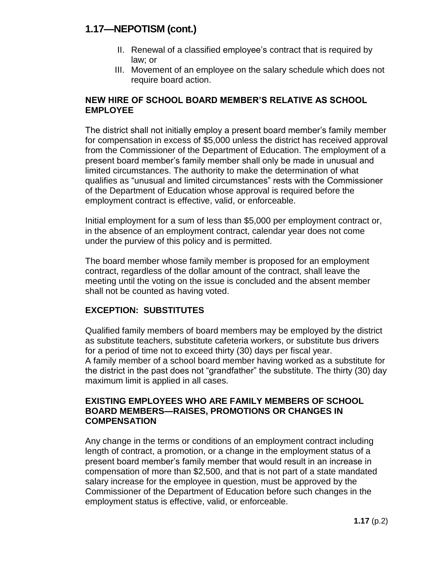#### **1.17—NEPOTISM (cont.)**

- II. Renewal of a classified employee's contract that is required by law; or
- III. Movement of an employee on the salary schedule which does not require board action.

#### **NEW HIRE OF SCHOOL BOARD MEMBER'S RELATIVE AS SCHOOL EMPLOYEE**

The district shall not initially employ a present board member's family member for compensation in excess of \$5,000 unless the district has received approval from the Commissioner of the Department of Education. The employment of a present board member's family member shall only be made in unusual and limited circumstances. The authority to make the determination of what qualifies as "unusual and limited circumstances" rests with the Commissioner of the Department of Education whose approval is required before the employment contract is effective, valid, or enforceable.

Initial employment for a sum of less than \$5,000 per employment contract or, in the absence of an employment contract, calendar year does not come under the purview of this policy and is permitted.

The board member whose family member is proposed for an employment contract, regardless of the dollar amount of the contract, shall leave the meeting until the voting on the issue is concluded and the absent member shall not be counted as having voted.

#### **EXCEPTION: SUBSTITUTES**

Qualified family members of board members may be employed by the district as substitute teachers, substitute cafeteria workers, or substitute bus drivers for a period of time not to exceed thirty (30) days per fiscal year. A family member of a school board member having worked as a substitute for the district in the past does not "grandfather" the substitute. The thirty (30) day maximum limit is applied in all cases.

#### **EXISTING EMPLOYEES WHO ARE FAMILY MEMBERS OF SCHOOL BOARD MEMBERS—RAISES, PROMOTIONS OR CHANGES IN COMPENSATION**

Any change in the terms or conditions of an employment contract including length of contract, a promotion, or a change in the employment status of a present board member's family member that would result in an increase in compensation of more than \$2,500, and that is not part of a state mandated salary increase for the employee in question, must be approved by the Commissioner of the Department of Education before such changes in the employment status is effective, valid, or enforceable.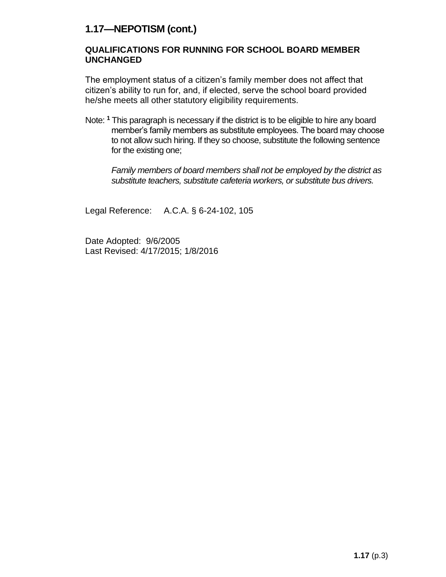#### **1.17—NEPOTISM (cont.)**

#### **QUALIFICATIONS FOR RUNNING FOR SCHOOL BOARD MEMBER UNCHANGED**

The employment status of a citizen's family member does not affect that citizen's ability to run for, and, if elected, serve the school board provided he/she meets all other statutory eligibility requirements.

Note: **<sup>1</sup>** This paragraph is necessary if the district is to be eligible to hire any board member's family members as substitute employees. The board may choose to not allow such hiring. If they so choose, substitute the following sentence for the existing one;

*Family members of board members shall not be employed by the district as substitute teachers, substitute cafeteria workers, or substitute bus drivers.*

Legal Reference: A.C.A. § 6-24-102, 105

Date Adopted: 9/6/2005 Last Revised: 4/17/2015; 1/8/2016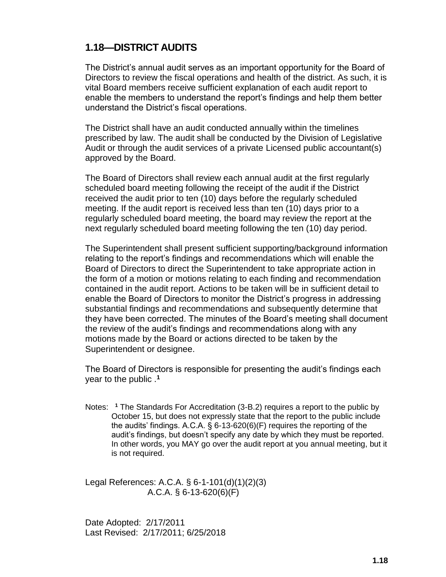#### **1.18—DISTRICT AUDITS**

The District's annual audit serves as an important opportunity for the Board of Directors to review the fiscal operations and health of the district. As such, it is vital Board members receive sufficient explanation of each audit report to enable the members to understand the report's findings and help them better understand the District's fiscal operations.

The District shall have an audit conducted annually within the timelines prescribed by law. The audit shall be conducted by the Division of Legislative Audit or through the audit services of a private Licensed public accountant(s) approved by the Board.

The Board of Directors shall review each annual audit at the first regularly scheduled board meeting following the receipt of the audit if the District received the audit prior to ten (10) days before the regularly scheduled meeting. If the audit report is received less than ten (10) days prior to a regularly scheduled board meeting, the board may review the report at the next regularly scheduled board meeting following the ten (10) day period.

The Superintendent shall present sufficient supporting/background information relating to the report's findings and recommendations which will enable the Board of Directors to direct the Superintendent to take appropriate action in the form of a motion or motions relating to each finding and recommendation contained in the audit report. Actions to be taken will be in sufficient detail to enable the Board of Directors to monitor the District's progress in addressing substantial findings and recommendations and subsequently determine that they have been corrected. The minutes of the Board's meeting shall document the review of the audit's findings and recommendations along with any motions made by the Board or actions directed to be taken by the Superintendent or designee.

The Board of Directors is responsible for presenting the audit's findings each year to the public .**<sup>1</sup>**

Notes: **<sup>1</sup>** The Standards For Accreditation (3-B.2) requires a report to the public by October 15, but does not expressly state that the report to the public include the audits' findings. A.C.A. § 6-13-620(6)(F) requires the reporting of the audit's findings, but doesn't specify any date by which they must be reported. In other words, you MAY go over the audit report at you annual meeting, but it is not required.

Legal References: A.C.A. § 6-1-101(d)(1)(2)(3) A.C.A. § 6-13-620(6)(F)

Date Adopted: 2/17/2011 Last Revised: 2/17/2011; 6/25/2018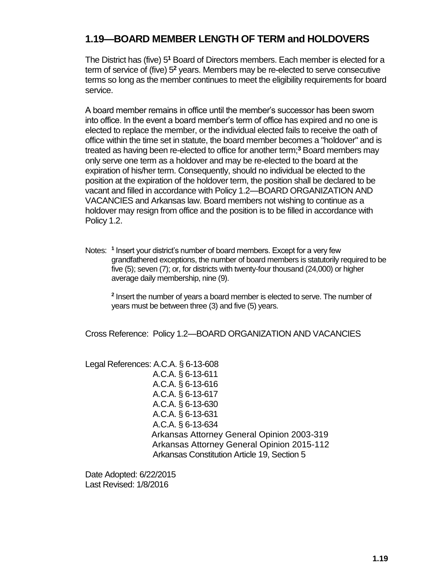## **1.19—BOARD MEMBER LENGTH OF TERM and HOLDOVERS**

The District has (five) 5**<sup>1</sup>** Board of Directors members. Each member is elected for a term of service of (five) 5**<sup>2</sup>** years. Members may be re-elected to serve consecutive terms so long as the member continues to meet the eligibility requirements for board service.

A board member remains in office until the member's successor has been sworn into office. In the event a board member's term of office has expired and no one is elected to replace the member, or the individual elected fails to receive the oath of office within the time set in statute, the board member becomes a "holdover" and is treated as having been re-elected to office for another term;**<sup>3</sup>** Board members may only serve one term as a holdover and may be re-elected to the board at the expiration of his/her term. Consequently, should no individual be elected to the position at the expiration of the holdover term, the position shall be declared to be vacant and filled in accordance with Policy 1.2—BOARD ORGANIZATION AND VACANCIES and Arkansas law. Board members not wishing to continue as a holdover may resign from office and the position is to be filled in accordance with Policy 1.2.

Notes: **<sup>1</sup>** Insert your district's number of board members. Except for a very few grandfathered exceptions, the number of board members is statutorily required to be five (5); seven (7); or, for districts with twenty-four thousand (24,000) or higher average daily membership, nine (9).

**2** Insert the number of years a board member is elected to serve. The number of years must be between three (3) and five (5) years.

Cross Reference: Policy 1.2—BOARD ORGANIZATION AND VACANCIES

Legal References: A.C.A. § 6-13-608 A.C.A. § 6-13-611 A.C.A. § 6-13-616 A.C.A. § 6-13-617 A.C.A. § 6-13-630 A.C.A. § 6-13-631 A.C.A. § 6-13-634 Arkansas Attorney General Opinion 2003-319 Arkansas Attorney General Opinion 2015-112 Arkansas Constitution Article 19, Section 5

Date Adopted: 6/22/2015 Last Revised: 1/8/2016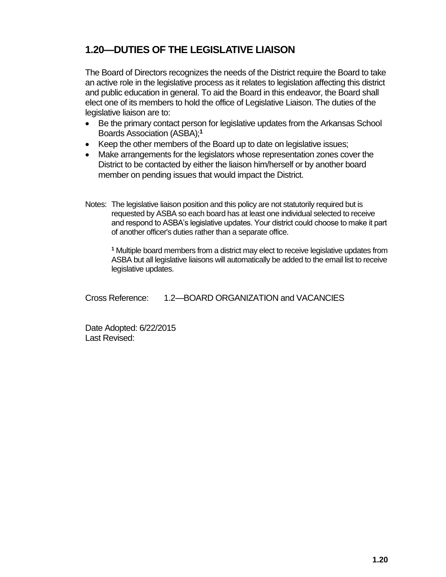## **1.20—DUTIES OF THE LEGISLATIVE LIAISON**

The Board of Directors recognizes the needs of the District require the Board to take an active role in the legislative process as it relates to legislation affecting this district and public education in general. To aid the Board in this endeavor, the Board shall elect one of its members to hold the office of Legislative Liaison. The duties of the legislative liaison are to:

- Be the primary contact person for legislative updates from the Arkansas School Boards Association (ASBA);**<sup>1</sup>**
- Keep the other members of the Board up to date on legislative issues;
- Make arrangements for the legislators whose representation zones cover the District to be contacted by either the liaison him/herself or by another board member on pending issues that would impact the District.
- Notes: The legislative liaison position and this policy are not statutorily required but is requested by ASBA so each board has at least one individual selected to receive and respond to ASBA's legislative updates. Your district could choose to make it part of another officer's duties rather than a separate office.

**<sup>1</sup>** Multiple board members from a district may elect to receive legislative updates from ASBA but all legislative liaisons will automatically be added to the email list to receive legislative updates.

Cross Reference: 1.2—BOARD ORGANIZATION and VACANCIES

Date Adopted: 6/22/2015 Last Revised: